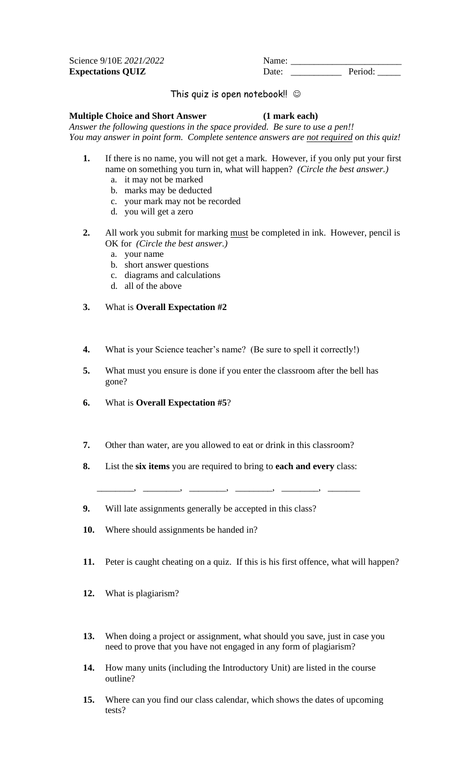**Expectations QUIZ** Date:

Science 9/10E 2021/2022<br> **Expectations QUIZ** Date: 2021/2022<br>
Date: 2021/2022<br>
Period:

## This quiz is open notebook!  $\odot$

## **Multiple Choice and Short Answer (1 mark each)**

*Answer the following questions in the space provided. Be sure to use a pen!! You may answer in point form. Complete sentence answers are not required on this quiz!*

- **1.** If there is no name, you will not get a mark. However, if you only put your first name on something you turn in, what will happen? *(Circle the best answer.)*
	- a. it may not be marked
	- b. marks may be deducted
	- c. your mark may not be recorded
	- d. you will get a zero
- **2.** All work you submit for marking must be completed in ink. However, pencil is OK for *(Circle the best answer.)*
	- a. your name
	- b. short answer questions
	- c. diagrams and calculations
	- d. all of the above
- **3.** What is **Overall Expectation #2**
- **4.** What is your Science teacher's name? (Be sure to spell it correctly!)
- **5.** What must you ensure is done if you enter the classroom after the bell has gone?
- **6.** What is **Overall Expectation #5**?
- **7.** Other than water, are you allowed to eat or drink in this classroom?
- **8.** List the **six items** you are required to bring to **each and every** class:

\_\_\_\_\_\_\_\_, \_\_\_\_\_\_\_\_, \_\_\_\_\_\_\_\_, \_\_\_\_\_\_\_\_, \_\_\_\_\_\_\_\_, \_\_\_\_\_\_\_

**9.** Will late assignments generally be accepted in this class?

- 
- **10.** Where should assignments be handed in?
- **11.** Peter is caught cheating on a quiz. If this is his first offence, what will happen?
- **12.** What is plagiarism?
- **13.** When doing a project or assignment, what should you save, just in case you need to prove that you have not engaged in any form of plagiarism?
- **14.** How many units (including the Introductory Unit) are listed in the course outline?
- **15.** Where can you find our class calendar, which shows the dates of upcoming tests?